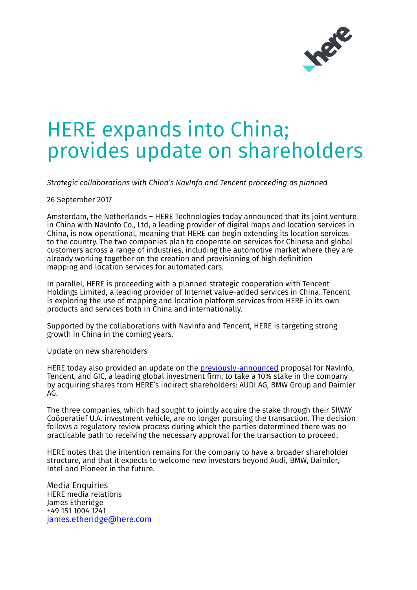

## HERE expands into China; provides update on shareholders

*Strategic collaborations with China's NavInfo and Tencent proceeding as planned*

26 September 2017

Amsterdam, the Netherlands – HERE Technologies today announced that its joint venture in China with NavInfo Co., Ltd, a leading provider of digital maps and location services in China, is now operational, meaning that HERE can begin extending its location services to the country. The two companies plan to cooperate on services for Chinese and global customers across a range of industries, including the automotive market where they are already working together on the creation and provisioning of [high definition](http://360.here.com/2016/12/13/how-here-hd-live-map-paved-the-way-for-autonomous-cars-in-2016/)  [mapping](http://360.here.com/2016/12/13/how-here-hd-live-map-paved-the-way-for-autonomous-cars-in-2016/) and location services for automated cars.

In parallel, HERE is proceeding with a planned strategic cooperation with Tencent Holdings Limited, a leading provider of Internet value-added services in China. Tencent is exploring the use of mapping and location platform services from HERE in its own products and services both in China and internationally.

Supported by the collaborations with NavInfo and Tencent, HERE is targeting strong growth in China in the coming years.

Update on new shareholders

HERE today also provided an update on the [previously-announced](https://here.com/en/company/newsroom/press-releases/2017-10-01-68) proposal for NavInfo, Tencent, and GIC, a leading global investment firm, to take a 10% stake in the company by acquiring shares from HERE's indirect shareholders: AUDI AG, BMW Group and Daimler AG.

The three companies, which had sought to jointly acquire the stake through their SIWAY Coöperatief U.A. investment vehicle, are no longer pursuing the transaction. The decision follows a regulatory review process during which the parties determined there was no practicable path to receiving the necessary approval for the transaction to proceed.

HERE notes that the intention remains for the company to have a broader shareholder structure, and that it expects to welcome new investors beyond Audi, BMW, Daimler, Intel and Pioneer in the future.

Media Enquiries HERE media relations James Etheridge +49 151 1004 1241 [james.etheridge@here.com](mailto:james.etheridge@here.com)